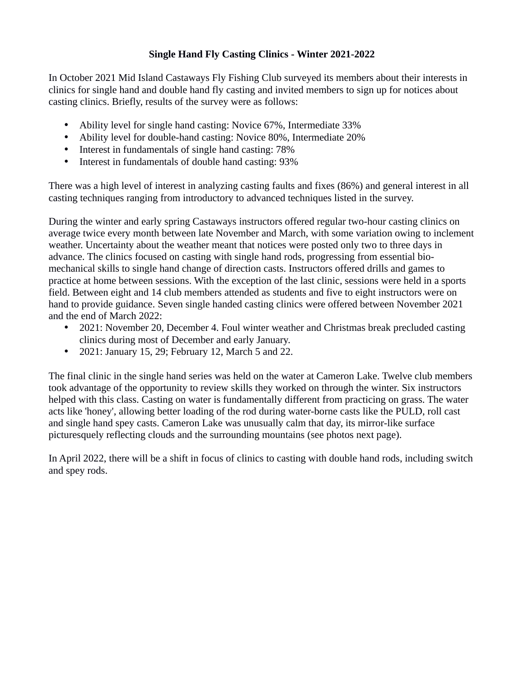## **Single Hand Fly Casting Clinics - Winter 2021-2022**

In October 2021 Mid Island Castaways Fly Fishing Club surveyed its members about their interests in clinics for single hand and double hand fly casting and invited members to sign up for notices about casting clinics. Briefly, results of the survey were as follows:

- Ability level for single hand casting: Novice 67%, Intermediate 33%
- Ability level for double-hand casting: Novice 80%, Intermediate 20%
- Interest in fundamentals of single hand casting: 78%
- Interest in fundamentals of double hand casting: 93%

There was a high level of interest in analyzing casting faults and fixes (86%) and general interest in all casting techniques ranging from introductory to advanced techniques listed in the survey.

During the winter and early spring Castaways instructors offered regular two-hour casting clinics on average twice every month between late November and March, with some variation owing to inclement weather. Uncertainty about the weather meant that notices were posted only two to three days in advance. The clinics focused on casting with single hand rods, progressing from essential biomechanical skills to single hand change of direction casts. Instructors offered drills and games to practice at home between sessions. With the exception of the last clinic, sessions were held in a sports field. Between eight and 14 club members attended as students and five to eight instructors were on hand to provide guidance. Seven single handed casting clinics were offered between November 2021 and the end of March 2022:

- 2021: November 20, December 4. Foul winter weather and Christmas break precluded casting clinics during most of December and early January.
- 2021: January 15, 29; February 12, March 5 and 22.

The final clinic in the single hand series was held on the water at Cameron Lake. Twelve club members took advantage of the opportunity to review skills they worked on through the winter. Six instructors helped with this class. Casting on water is fundamentally different from practicing on grass. The water acts like 'honey', allowing better loading of the rod during water-borne casts like the PULD, roll cast and single hand spey casts. Cameron Lake was unusually calm that day, its mirror-like surface picturesquely reflecting clouds and the surrounding mountains (see photos next page).

In April 2022, there will be a shift in focus of clinics to casting with double hand rods, including switch and spey rods.